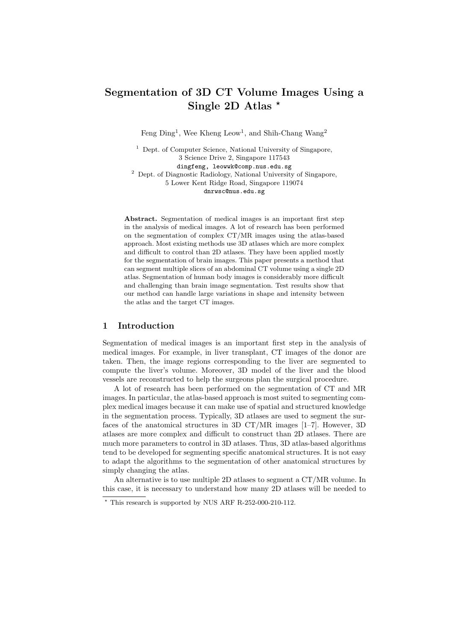# Segmentation of 3D CT Volume Images Using a Single 2D Atlas  $\star$

Feng  $\text{Ding}^1$ , Wee Kheng Leow<sup>1</sup>, and Shih-Chang Wang<sup>2</sup>

 $1$  Dept. of Computer Science, National University of Singapore, 3 Science Drive 2, Singapore 117543 dingfeng, leowwk@comp.nus.edu.sg <sup>2</sup> Dept. of Diagnostic Radiology, National University of Singapore, 5 Lower Kent Ridge Road, Singapore 119074 dnrwsc@nus.edu.sg

Abstract. Segmentation of medical images is an important first step in the analysis of medical images. A lot of research has been performed on the segmentation of complex CT/MR images using the atlas-based approach. Most existing methods use 3D atlases which are more complex and difficult to control than 2D atlases. They have been applied mostly for the segmentation of brain images. This paper presents a method that can segment multiple slices of an abdominal CT volume using a single 2D atlas. Segmentation of human body images is considerably more difficult and challenging than brain image segmentation. Test results show that our method can handle large variations in shape and intensity between the atlas and the target CT images.

### 1 Introduction

Segmentation of medical images is an important first step in the analysis of medical images. For example, in liver transplant, CT images of the donor are taken. Then, the image regions corresponding to the liver are segmented to compute the liver's volume. Moreover, 3D model of the liver and the blood vessels are reconstructed to help the surgeons plan the surgical procedure.

A lot of research has been performed on the segmentation of CT and MR images. In particular, the atlas-based approach is most suited to segmenting complex medical images because it can make use of spatial and structured knowledge in the segmentation process. Typically, 3D atlases are used to segment the surfaces of the anatomical structures in 3D  $CT/MR$  images [1–7]. However, 3D atlases are more complex and difficult to construct than 2D atlases. There are much more parameters to control in 3D atlases. Thus, 3D atlas-based algorithms tend to be developed for segmenting specific anatomical structures. It is not easy to adapt the algorithms to the segmentation of other anatomical structures by simply changing the atlas.

An alternative is to use multiple 2D atlases to segment a CT/MR volume. In this case, it is necessary to understand how many 2D atlases will be needed to

 $\star$  This research is supported by NUS ARF R-252-000-210-112.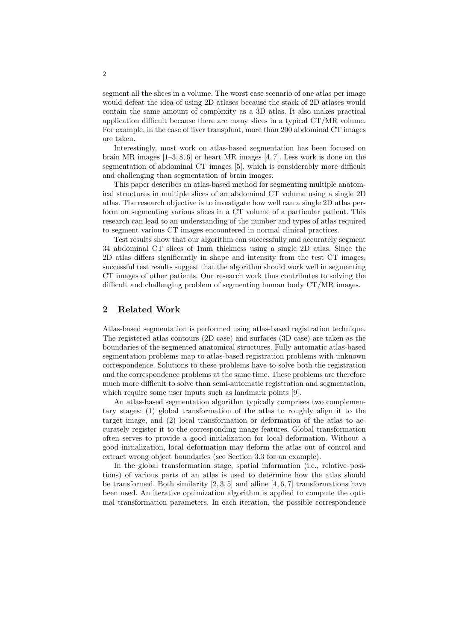segment all the slices in a volume. The worst case scenario of one atlas per image would defeat the idea of using 2D atlases because the stack of 2D atlases would contain the same amount of complexity as a 3D atlas. It also makes practical application difficult because there are many slices in a typical CT/MR volume. For example, in the case of liver transplant, more than 200 abdominal CT images are taken.

Interestingly, most work on atlas-based segmentation has been focused on brain MR images  $[1-3, 8, 6]$  or heart MR images  $[4, 7]$ . Less work is done on the segmentation of abdominal CT images [5], which is considerably more difficult and challenging than segmentation of brain images.

This paper describes an atlas-based method for segmenting multiple anatomical structures in multiple slices of an abdominal CT volume using a single 2D atlas. The research objective is to investigate how well can a single 2D atlas perform on segmenting various slices in a CT volume of a particular patient. This research can lead to an understanding of the number and types of atlas required to segment various CT images encountered in normal clinical practices.

Test results show that our algorithm can successfully and accurately segment 34 abdominal CT slices of 1mm thickness using a single 2D atlas. Since the 2D atlas differs significantly in shape and intensity from the test CT images, successful test results suggest that the algorithm should work well in segmenting CT images of other patients. Our research work thus contributes to solving the difficult and challenging problem of segmenting human body CT/MR images.

## 2 Related Work

Atlas-based segmentation is performed using atlas-based registration technique. The registered atlas contours (2D case) and surfaces (3D case) are taken as the boundaries of the segmented anatomical structures. Fully automatic atlas-based segmentation problems map to atlas-based registration problems with unknown correspondence. Solutions to these problems have to solve both the registration and the correspondence problems at the same time. These problems are therefore much more difficult to solve than semi-automatic registration and segmentation, which require some user inputs such as landmark points [9].

An atlas-based segmentation algorithm typically comprises two complementary stages: (1) global transformation of the atlas to roughly align it to the target image, and (2) local transformation or deformation of the atlas to accurately register it to the corresponding image features. Global transformation often serves to provide a good initialization for local deformation. Without a good initialization, local deformation may deform the atlas out of control and extract wrong object boundaries (see Section 3.3 for an example).

In the global transformation stage, spatial information (i.e., relative positions) of various parts of an atlas is used to determine how the atlas should be transformed. Both similarity  $[2, 3, 5]$  and affine  $[4, 6, 7]$  transformations have been used. An iterative optimization algorithm is applied to compute the optimal transformation parameters. In each iteration, the possible correspondence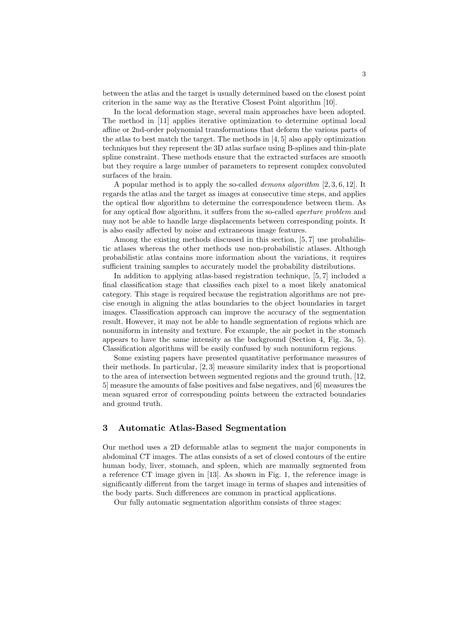between the atlas and the target is usually determined based on the closest point criterion in the same way as the Iterative Closest Point algorithm [10].

In the local deformation stage, several main approaches have been adopted. The method in [11] applies iterative optimization to determine optimal local affine or 2nd-order polynomial transformations that deform the various parts of the atlas to best match the target. The methods in [4, 5] also apply optimization techniques but they represent the 3D atlas surface using B-splines and thin-plate spline constraint. These methods ensure that the extracted surfaces are smooth but they require a large number of parameters to represent complex convoluted surfaces of the brain.

A popular method is to apply the so-called *demons algorithm* [2, 3, 6, 12]. It regards the atlas and the target as images at consecutive time steps, and applies the optical flow algorithm to determine the correspondence between them. As for any optical flow algorithm, it suffers from the so-called aperture problem and may not be able to handle large displacements between corresponding points. It is also easily affected by noise and extraneous image features.

Among the existing methods discussed in this section, [5, 7] use probabilistic atlases whereas the other methods use non-probabilistic atlases. Although probabilistic atlas contains more information about the variations, it requires sufficient training samples to accurately model the probability distributions.

In addition to applying atlas-based registration technique, [5, 7] included a final classification stage that classifies each pixel to a most likely anatomical category. This stage is required because the registration algorithms are not precise enough in aligning the atlas boundaries to the object boundaries in target images. Classification approach can improve the accuracy of the segmentation result. However, it may not be able to handle segmentation of regions which are nonuniform in intensity and texture. For example, the air pocket in the stomach appears to have the same intensity as the background (Section 4, Fig. 3a, 5). Classification algorithms will be easily confused by such nonuniform regions.

Some existing papers have presented quantitative performance measures of their methods. In particular, [2, 3] measure similarity index that is proportional to the area of intersection between segmented regions and the ground truth, [12, 5] measure the amounts of false positives and false negatives, and [6] measures the mean squared error of corresponding points between the extracted boundaries and ground truth.

## 3 Automatic Atlas-Based Segmentation

Our method uses a 2D deformable atlas to segment the major components in abdominal CT images. The atlas consists of a set of closed contours of the entire human body, liver, stomach, and spleen, which are manually segmented from a reference CT image given in [13]. As shown in Fig. 1, the reference image is significantly different from the target image in terms of shapes and intensities of the body parts. Such differences are common in practical applications.

Our fully automatic segmentation algorithm consists of three stages: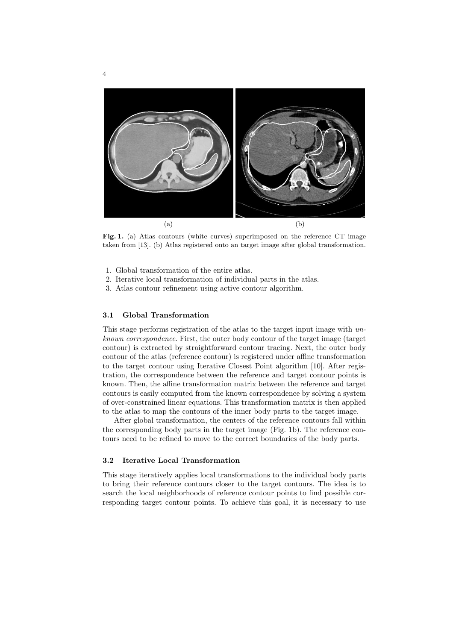

Fig. 1. (a) Atlas contours (white curves) superimposed on the reference CT image taken from [13]. (b) Atlas registered onto an target image after global transformation.

- 1. Global transformation of the entire atlas.
- 2. Iterative local transformation of individual parts in the atlas.
- 3. Atlas contour refinement using active contour algorithm.

#### 3.1 Global Transformation

This stage performs registration of the atlas to the target input image with unknown correspondence. First, the outer body contour of the target image (target contour) is extracted by straightforward contour tracing. Next, the outer body contour of the atlas (reference contour) is registered under affine transformation to the target contour using Iterative Closest Point algorithm [10]. After registration, the correspondence between the reference and target contour points is known. Then, the affine transformation matrix between the reference and target contours is easily computed from the known correspondence by solving a system of over-constrained linear equations. This transformation matrix is then applied to the atlas to map the contours of the inner body parts to the target image.

After global transformation, the centers of the reference contours fall within the corresponding body parts in the target image (Fig. 1b). The reference contours need to be refined to move to the correct boundaries of the body parts.

#### 3.2 Iterative Local Transformation

This stage iteratively applies local transformations to the individual body parts to bring their reference contours closer to the target contours. The idea is to search the local neighborhoods of reference contour points to find possible corresponding target contour points. To achieve this goal, it is necessary to use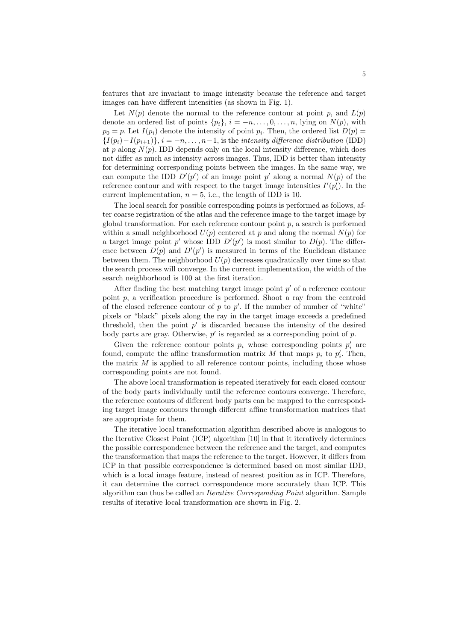features that are invariant to image intensity because the reference and target images can have different intensities (as shown in Fig. 1).

Let  $N(p)$  denote the normal to the reference contour at point p, and  $L(p)$ denote an ordered list of points  $\{p_i\}, i = -n, \ldots, 0, \ldots, n$ , lying on  $N(p)$ , with  $p_0 = p$ . Let  $I(p_i)$  denote the intensity of point  $p_i$ . Then, the ordered list  $D(p) =$  ${I(p_i) - I(p_{i+1})}, i = -n, \ldots, n-1$ , is the *intensity difference distribution* (IDD) at p along  $N(p)$ . IDD depends only on the local intensity difference, which does not differ as much as intensity across images. Thus, IDD is better than intensity for determining corresponding points between the images. In the same way, we can compute the IDD  $D'(p')$  of an image point p' along a normal  $N(p)$  of the reference contour and with respect to the target image intensities  $I'(p_i)$ . In the current implementation,  $n = 5$ , i.e., the length of IDD is 10.

The local search for possible corresponding points is performed as follows, after coarse registration of the atlas and the reference image to the target image by global transformation. For each reference contour point  $p$ , a search is performed within a small neighborhood  $U(p)$  centered at p and along the normal  $N(p)$  for a target image point p' whose IDD  $D'(p')$  is most similar to  $D(p)$ . The difference between  $D(p)$  and  $D'(p')$  is measured in terms of the Euclidean distance between them. The neighborhood  $U(p)$  decreases quadratically over time so that the search process will converge. In the current implementation, the width of the search neighborhood is 100 at the first iteration.

After finding the best matching target image point  $p'$  of a reference contour point  $p$ , a verification procedure is performed. Shoot a ray from the centroid of the closed reference contour of  $p$  to  $p'$ . If the number of number of "white" pixels or "black" pixels along the ray in the target image exceeds a predefined threshold, then the point  $p'$  is discarded because the intensity of the desired body parts are gray. Otherwise,  $p'$  is regarded as a corresponding point of  $p$ .

Given the reference contour points  $p_i$  whose corresponding points  $p'_i$  are found, compute the affine transformation matrix M that maps  $p_i$  to  $p'_i$ . Then, the matrix  $M$  is applied to all reference contour points, including those whose corresponding points are not found.

The above local transformation is repeated iteratively for each closed contour of the body parts individually until the reference contours converge. Therefore, the reference contours of different body parts can be mapped to the corresponding target image contours through different affine transformation matrices that are appropriate for them.

The iterative local transformation algorithm described above is analogous to the Iterative Closest Point (ICP) algorithm [10] in that it iteratively determines the possible correspondence between the reference and the target, and computes the transformation that maps the reference to the target. However, it differs from ICP in that possible correspondence is determined based on most similar IDD, which is a local image feature, instead of nearest position as in ICP. Therefore, it can determine the correct correspondence more accurately than ICP. This algorithm can thus be called an Iterative Corresponding Point algorithm. Sample results of iterative local transformation are shown in Fig. 2.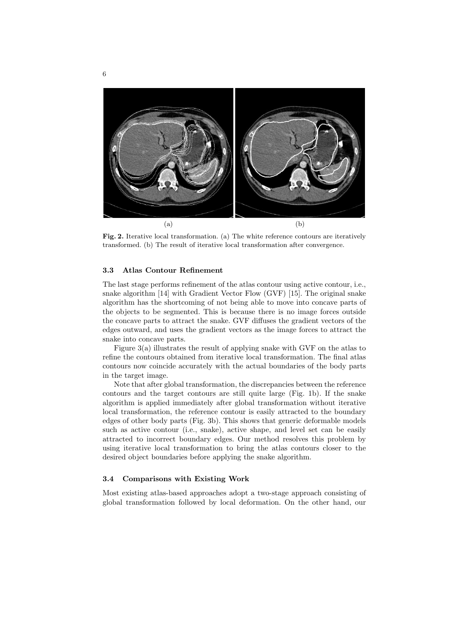

Fig. 2. Iterative local transformation. (a) The white reference contours are iteratively transformed. (b) The result of iterative local transformation after convergence.

#### 3.3 Atlas Contour Refinement

The last stage performs refinement of the atlas contour using active contour, i.e., snake algorithm [14] with Gradient Vector Flow (GVF) [15]. The original snake algorithm has the shortcoming of not being able to move into concave parts of the objects to be segmented. This is because there is no image forces outside the concave parts to attract the snake. GVF diffuses the gradient vectors of the edges outward, and uses the gradient vectors as the image forces to attract the snake into concave parts.

Figure 3(a) illustrates the result of applying snake with GVF on the atlas to refine the contours obtained from iterative local transformation. The final atlas contours now coincide accurately with the actual boundaries of the body parts in the target image.

Note that after global transformation, the discrepancies between the reference contours and the target contours are still quite large (Fig. 1b). If the snake algorithm is applied immediately after global transformation without iterative local transformation, the reference contour is easily attracted to the boundary edges of other body parts (Fig. 3b). This shows that generic deformable models such as active contour (i.e., snake), active shape, and level set can be easily attracted to incorrect boundary edges. Our method resolves this problem by using iterative local transformation to bring the atlas contours closer to the desired object boundaries before applying the snake algorithm.

#### 3.4 Comparisons with Existing Work

Most existing atlas-based approaches adopt a two-stage approach consisting of global transformation followed by local deformation. On the other hand, our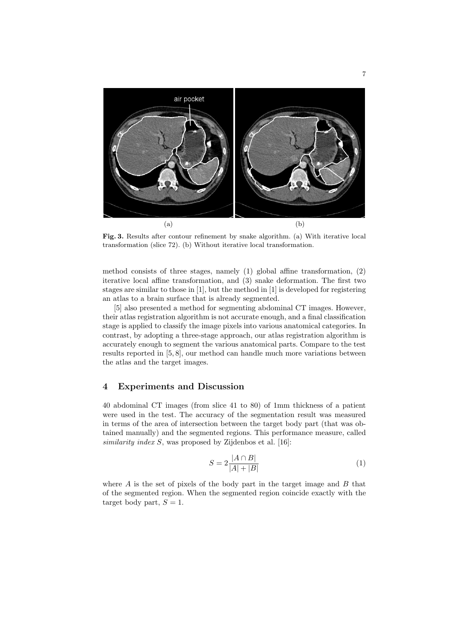

Fig. 3. Results after contour refinement by snake algorithm. (a) With iterative local transformation (slice 72). (b) Without iterative local transformation.

method consists of three stages, namely (1) global affine transformation, (2) iterative local affine transformation, and (3) snake deformation. The first two stages are similar to those in [1], but the method in [1] is developed for registering an atlas to a brain surface that is already segmented.

[5] also presented a method for segmenting abdominal CT images. However, their atlas registration algorithm is not accurate enough, and a final classification stage is applied to classify the image pixels into various anatomical categories. In contrast, by adopting a three-stage approach, our atlas registration algorithm is accurately enough to segment the various anatomical parts. Compare to the test results reported in [5, 8], our method can handle much more variations between the atlas and the target images.

## 4 Experiments and Discussion

40 abdominal CT images (from slice 41 to 80) of 1mm thickness of a patient were used in the test. The accuracy of the segmentation result was measured in terms of the area of intersection between the target body part (that was obtained manually) and the segmented regions. This performance measure, called similarity index  $S$ , was proposed by Zijdenbos et al. [16]:

$$
S = 2\frac{|A \cap B|}{|A| + |B|} \tag{1}
$$

where  $A$  is the set of pixels of the body part in the target image and  $B$  that of the segmented region. When the segmented region coincide exactly with the target body part,  $S = 1$ .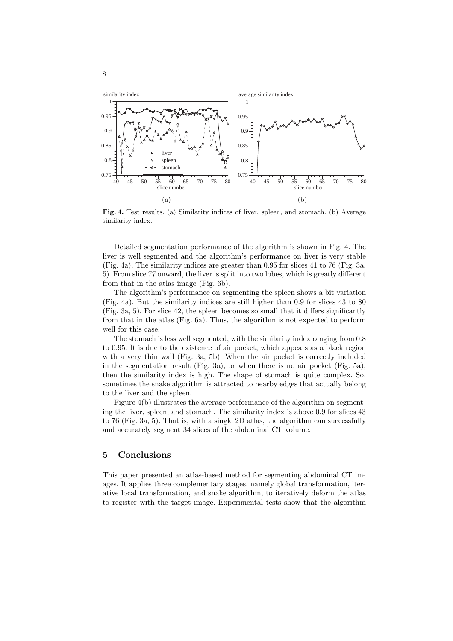

Fig. 4. Test results. (a) Similarity indices of liver, spleen, and stomach. (b) Average similarity index.

Detailed segmentation performance of the algorithm is shown in Fig. 4. The liver is well segmented and the algorithm's performance on liver is very stable (Fig. 4a). The similarity indices are greater than 0.95 for slices 41 to 76 (Fig. 3a, 5). From slice 77 onward, the liver is split into two lobes, which is greatly different from that in the atlas image (Fig. 6b).

The algorithm's performance on segmenting the spleen shows a bit variation (Fig. 4a). But the similarity indices are still higher than 0.9 for slices 43 to 80 (Fig. 3a, 5). For slice 42, the spleen becomes so small that it differs significantly from that in the atlas (Fig. 6a). Thus, the algorithm is not expected to perform well for this case.

The stomach is less well segmented, with the similarity index ranging from 0.8 to 0.95. It is due to the existence of air pocket, which appears as a black region with a very thin wall (Fig. 3a, 5b). When the air pocket is correctly included in the segmentation result (Fig. 3a), or when there is no air pocket (Fig. 5a), then the similarity index is high. The shape of stomach is quite complex. So, sometimes the snake algorithm is attracted to nearby edges that actually belong to the liver and the spleen.

Figure 4(b) illustrates the average performance of the algorithm on segmenting the liver, spleen, and stomach. The similarity index is above 0.9 for slices 43 to 76 (Fig. 3a, 5). That is, with a single 2D atlas, the algorithm can successfully and accurately segment 34 slices of the abdominal CT volume.

## 5 Conclusions

This paper presented an atlas-based method for segmenting abdominal CT images. It applies three complementary stages, namely global transformation, iterative local transformation, and snake algorithm, to iteratively deform the atlas to register with the target image. Experimental tests show that the algorithm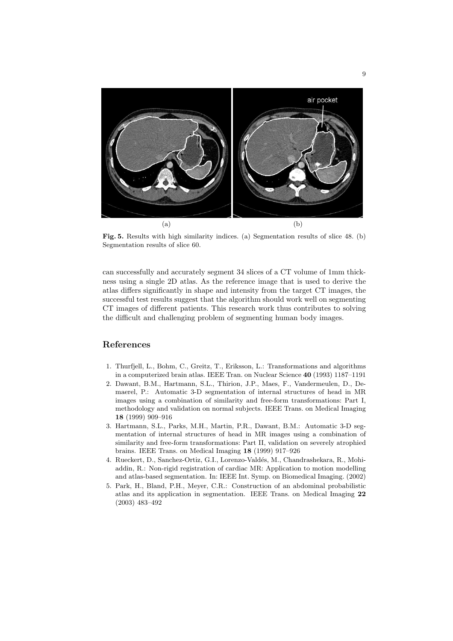

Fig. 5. Results with high similarity indices. (a) Segmentation results of slice 48. (b) Segmentation results of slice 60.

can successfully and accurately segment 34 slices of a CT volume of 1mm thickness using a single 2D atlas. As the reference image that is used to derive the atlas differs significantly in shape and intensity from the target CT images, the successful test results suggest that the algorithm should work well on segmenting CT images of different patients. This research work thus contributes to solving the difficult and challenging problem of segmenting human body images.

## References

- 1. Thurfjell, L., Bohm, C., Greitz, T., Eriksson, L.: Transformations and algorithms in a computerized brain atlas. IEEE Tran. on Nuclear Science 40 (1993) 1187–1191
- 2. Dawant, B.M., Hartmann, S.L., Thirion, J.P., Maes, F., Vandermeulen, D., Demaerel, P.: Automatic 3-D segmentation of internal structures of head in MR images using a combination of similarity and free-form transformations: Part I, methodology and validation on normal subjects. IEEE Trans. on Medical Imaging 18 (1999) 909–916
- 3. Hartmann, S.L., Parks, M.H., Martin, P.R., Dawant, B.M.: Automatic 3-D segmentation of internal structures of head in MR images using a combination of similarity and free-form transformations: Part II, validation on severely atrophied brains. IEEE Trans. on Medical Imaging 18 (1999) 917–926
- 4. Rueckert, D., Sanchez-Ortiz, G.I., Lorenzo-Valdés, M., Chandrashekara, R., Mohiaddin, R.: Non-rigid registration of cardiac MR: Application to motion modelling and atlas-based segmentation. In: IEEE Int. Symp. on Biomedical Imaging. (2002)
- 5. Park, H., Bland, P.H., Meyer, C.R.: Construction of an abdominal probabilistic atlas and its application in segmentation. IEEE Trans. on Medical Imaging 22 (2003) 483–492